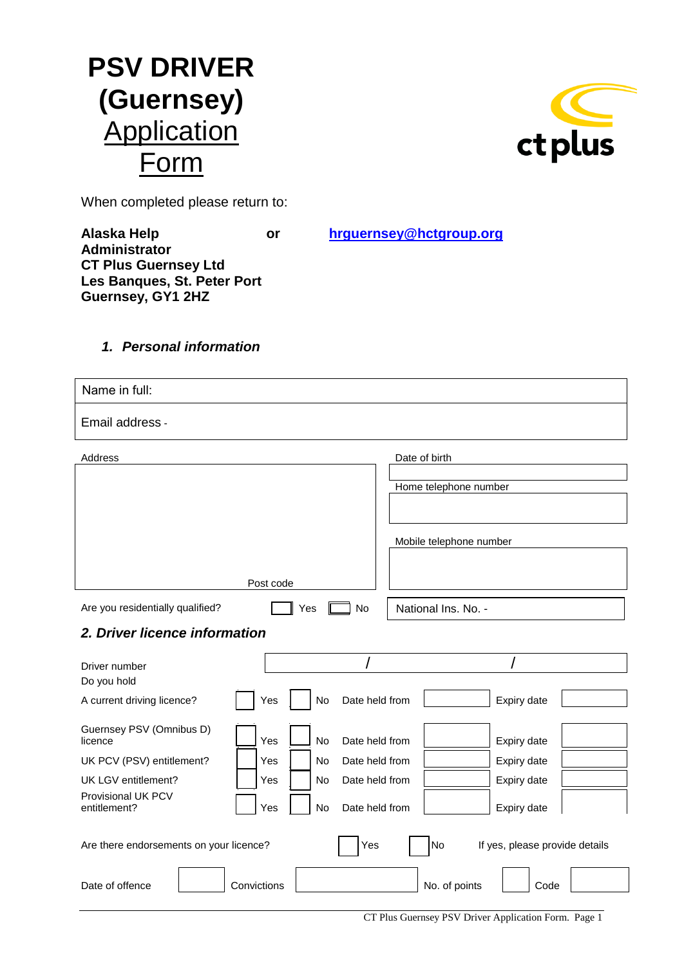



When completed please return to:

**Alaska Help or [hrguernsey@hctgroup.org](mailto:hrguernsey@hctgroup.org) Administrator CT Plus Guernsey Ltd Les Banques, St. Peter Port Guernsey, GY1 2HZ**

# *1. Personal information*

| Name in full:                           |                                    |                                      |  |
|-----------------------------------------|------------------------------------|--------------------------------------|--|
| Email address -                         |                                    |                                      |  |
| Address                                 |                                    | Date of birth                        |  |
|                                         |                                    | Home telephone number                |  |
|                                         |                                    |                                      |  |
|                                         |                                    |                                      |  |
|                                         |                                    | Mobile telephone number              |  |
|                                         |                                    |                                      |  |
|                                         | Post code                          |                                      |  |
| Are you residentially qualified?        | Yes<br>No                          | National Ins. No. -                  |  |
| 2. Driver licence information           |                                    |                                      |  |
| Driver number                           |                                    |                                      |  |
| Do you hold                             |                                    |                                      |  |
| A current driving licence?              | No<br>Date held from<br>Yes        | Expiry date                          |  |
| Guernsey PSV (Omnibus D)                |                                    |                                      |  |
| licence                                 | Yes<br>Date held from<br><b>No</b> | Expiry date                          |  |
| UK PCV (PSV) entitlement?               | Date held from<br>Yes<br>No        | Expiry date                          |  |
| UK LGV entitlement?                     | Yes<br>No<br>Date held from        | Expiry date                          |  |
| Provisional UK PCV<br>entitlement?      | Date held from<br>Yes<br>No        | Expiry date                          |  |
| Are there endorsements on your licence? | Yes                                | No<br>If yes, please provide details |  |
| Date of offence                         | Convictions                        | No. of points<br>Code                |  |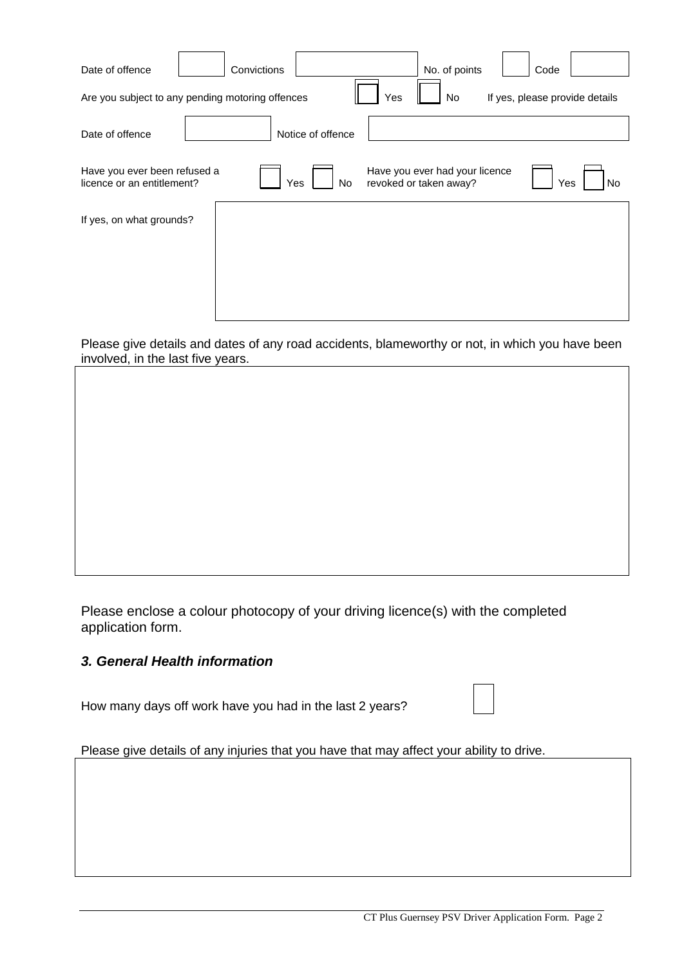| Date of offence                                            | Convictions                                      |                   | No. of points                                            | Code                           |
|------------------------------------------------------------|--------------------------------------------------|-------------------|----------------------------------------------------------|--------------------------------|
|                                                            | Are you subject to any pending motoring offences | Yes               | No                                                       | If yes, please provide details |
| Date of offence                                            |                                                  | Notice of offence |                                                          |                                |
| Have you ever been refused a<br>licence or an entitlement? | Yes                                              | No                | Have you ever had your licence<br>revoked or taken away? | Yes<br>No                      |
| If yes, on what grounds?                                   |                                                  |                   |                                                          |                                |
|                                                            |                                                  |                   |                                                          |                                |
|                                                            |                                                  |                   |                                                          |                                |
|                                                            |                                                  |                   |                                                          |                                |

Please give details and dates of any road accidents, blameworthy or not, in which you have been involved, in the last five years.

Please enclose a colour photocopy of your driving licence(s) with the completed application form.

# *3. General Health information*

How many days off work have you had in the last 2 years?

Please give details of any injuries that you have that may affect your ability to drive.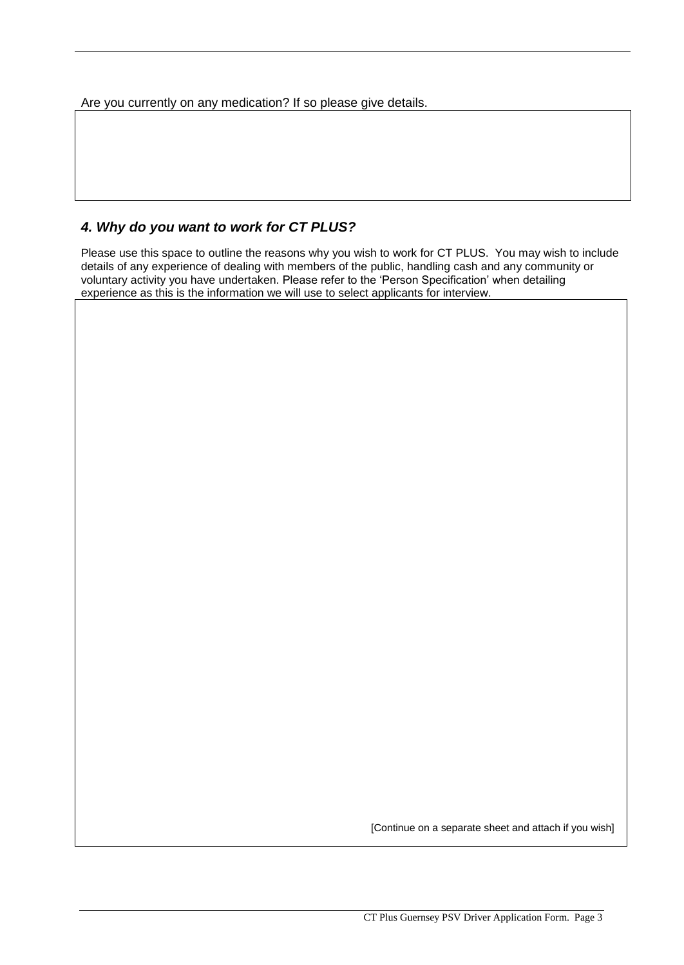Are you currently on any medication? If so please give details.

## *4. Why do you want to work for CT PLUS?*

Please use this space to outline the reasons why you wish to work for CT PLUS. You may wish to include details of any experience of dealing with members of the public, handling cash and any community or voluntary activity you have undertaken. Please refer to the 'Person Specification' when detailing experience as this is the information we will use to select applicants for interview.

[Continue on a separate sheet and attach if you wish]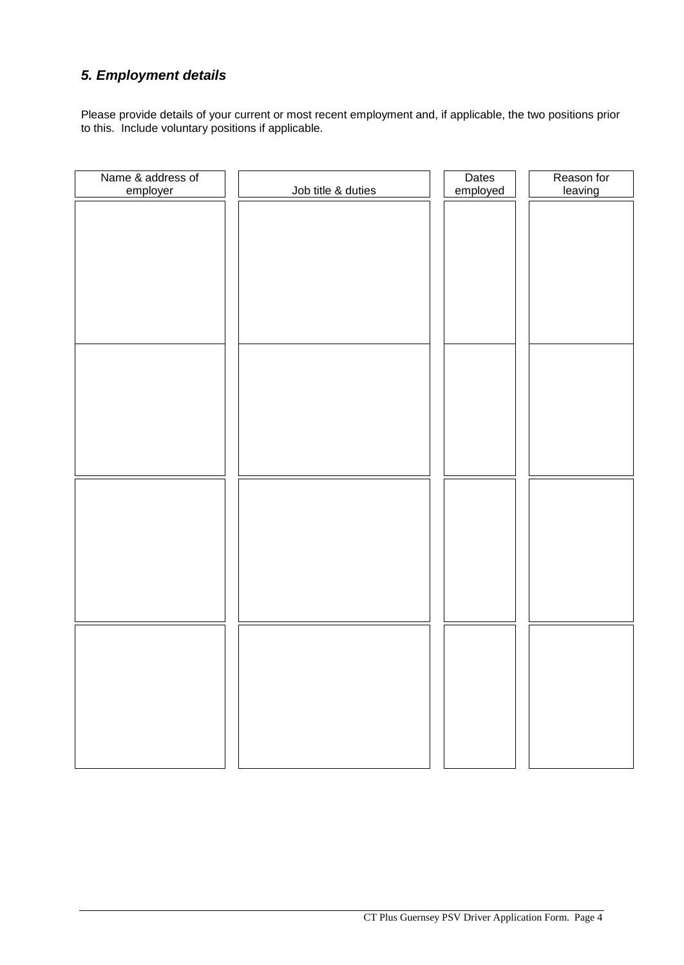# *5. Employment details*

Please provide details of your current or most recent employment and, if applicable, the two positions prior to this. Include voluntary positions if applicable.

| Name & address of<br>employer | Job title & duties | Dates<br>employed | Reason for<br>leaving |
|-------------------------------|--------------------|-------------------|-----------------------|
|                               |                    |                   |                       |
|                               |                    |                   |                       |
|                               |                    |                   |                       |
|                               |                    |                   |                       |
|                               |                    |                   |                       |
|                               |                    |                   |                       |
|                               |                    |                   |                       |
|                               |                    |                   |                       |
|                               |                    |                   |                       |
|                               |                    |                   |                       |
|                               |                    |                   |                       |
|                               |                    |                   |                       |
|                               |                    |                   |                       |
|                               |                    |                   |                       |
|                               |                    |                   |                       |
|                               |                    |                   |                       |
|                               |                    |                   |                       |
|                               |                    |                   |                       |
|                               |                    |                   |                       |
|                               |                    |                   |                       |
|                               |                    |                   |                       |
|                               |                    |                   |                       |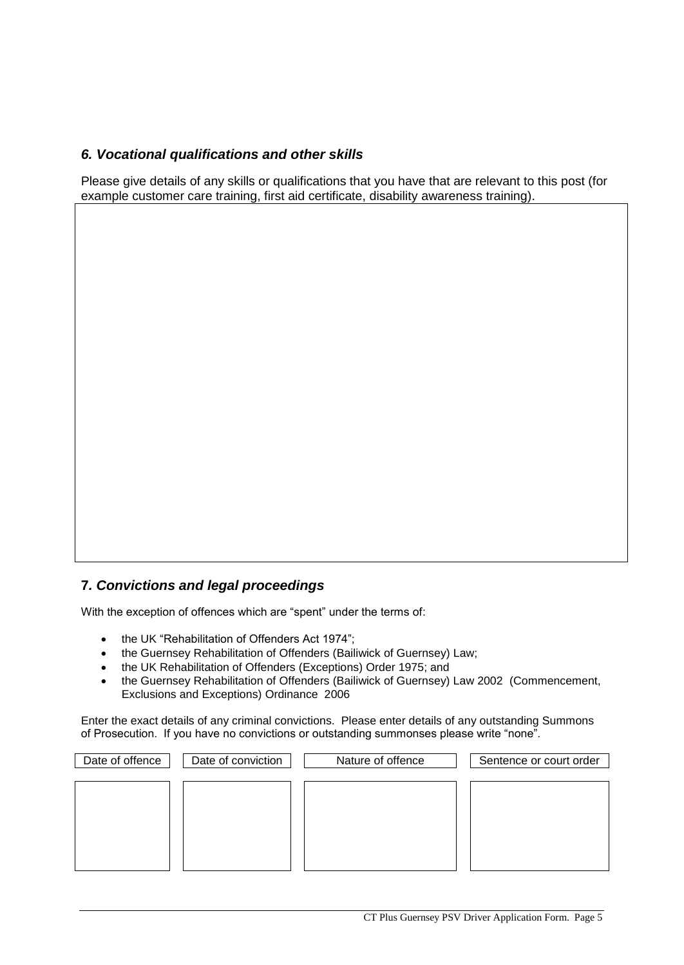## *6. Vocational qualifications and other skills*

Please give details of any skills or qualifications that you have that are relevant to this post (for example customer care training, first aid certificate, disability awareness training).

### **7***. Convictions and legal proceedings*

With the exception of offences which are "spent" under the terms of:

- the UK "Rehabilitation of Offenders Act 1974";
- the Guernsey Rehabilitation of Offenders (Bailiwick of Guernsey) Law;
- the UK Rehabilitation of Offenders (Exceptions) Order 1975; and
- the Guernsey Rehabilitation of Offenders (Bailiwick of Guernsey) Law 2002 (Commencement, Exclusions and Exceptions) Ordinance 2006

Enter the exact details of any criminal convictions. Please enter details of any outstanding Summons of Prosecution. If you have no convictions or outstanding summonses please write "none".